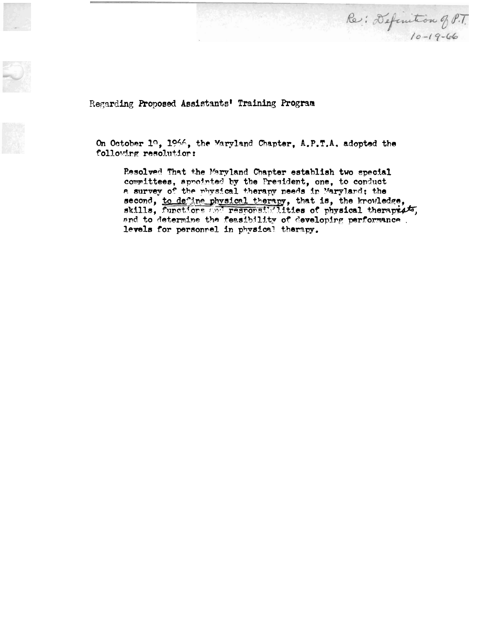Regarding Proposed Assistants' Training Program



On October 1º, 1966, the Maryland Chapter, A.P.T.A. adopted the following resolution:

Resolved That the Maryland Chapter establish two special committees, appointed by the President, one, to conduct a survey of the physical therapy needs in Maryland; the second, to define physical therapy, that is, the knowledge, skills, functions and responsibilities of physical therapyist, and to determine the feasibility of developing performance. levels for personnel in physical therapy.

Re: Definition of P.T.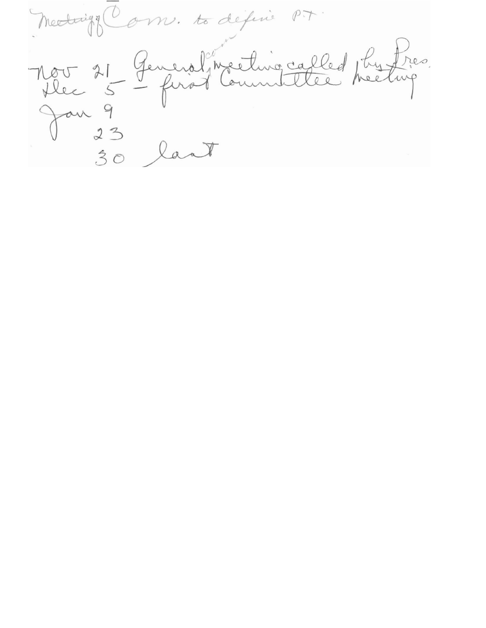Medaigo Com. to défine P.T. Nov 21 General meeting called physics. Jan 9<br>30 lant